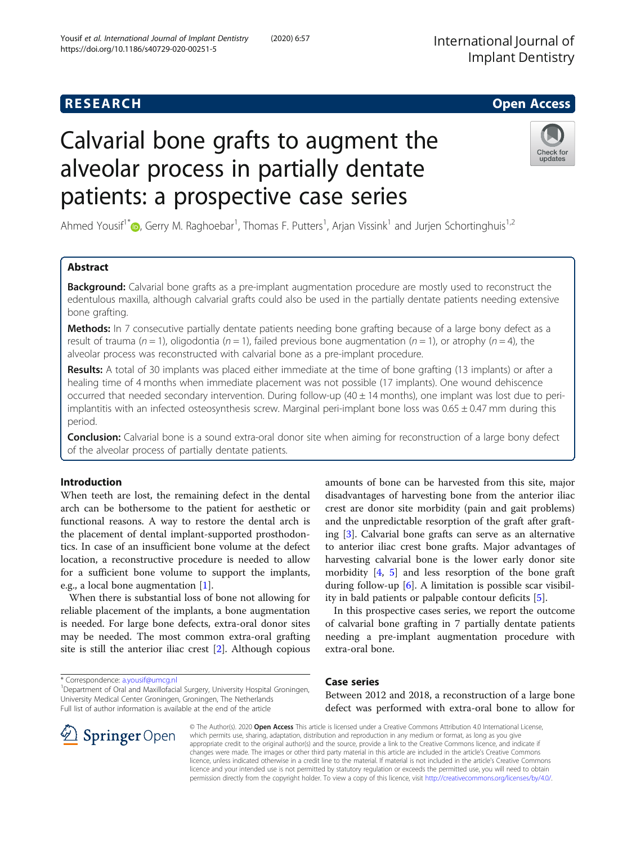## **RESEARCH CHILD CONTROL** CONTROL CONTROL CONTROL CONTROL CONTROL CONTROL CONTROL CONTROL CONTROL CONTROL CONTROL

# Calvarial bone grafts to augment the alveolar process in partially dentate patients: a prospective case series

Ahmed Yousif<sup>1[\\*](http://orcid.org/0000-0001-5106-6411)</sup> (D, Gerry M. Raghoebar<sup>1</sup>, Thomas F. Putters<sup>1</sup>, Arjan Vissink<sup>1</sup> and Jurjen Schortinghuis<sup>1,2</sup>

## Abstract

**Background:** Calvarial bone grafts as a pre-implant augmentation procedure are mostly used to reconstruct the edentulous maxilla, although calvarial grafts could also be used in the partially dentate patients needing extensive bone grafting.

Methods: In 7 consecutive partially dentate patients needing bone grafting because of a large bony defect as a result of trauma (n = 1), oligodontia (n = 1), failed previous bone augmentation (n = 1), or atrophy (n = 4), the alveolar process was reconstructed with calvarial bone as a pre-implant procedure.

Results: A total of 30 implants was placed either immediate at the time of bone grafting (13 implants) or after a healing time of 4 months when immediate placement was not possible (17 implants). One wound dehiscence occurred that needed secondary intervention. During follow-up  $(40 \pm 14 \text{ months})$ , one implant was lost due to periimplantitis with an infected osteosynthesis screw. Marginal peri-implant bone loss was  $0.65 \pm 0.47$  mm during this period.

Conclusion: Calvarial bone is a sound extra-oral donor site when aiming for reconstruction of a large bony defect of the alveolar process of partially dentate patients.

## Introduction

When teeth are lost, the remaining defect in the dental arch can be bothersome to the patient for aesthetic or functional reasons. A way to restore the dental arch is the placement of dental implant-supported prosthodontics. In case of an insufficient bone volume at the defect location, a reconstructive procedure is needed to allow for a sufficient bone volume to support the implants, e.g., a local bone augmentation [[1\]](#page-4-0).

When there is substantial loss of bone not allowing for reliable placement of the implants, a bone augmentation is needed. For large bone defects, extra-oral donor sites may be needed. The most common extra-oral grafting site is still the anterior iliac crest [[2\]](#page-4-0). Although copious

**Springer** Open

<sup>1</sup> Department of Oral and Maxillofacial Surgery, University Hospital Groningen, University Medical Center Groningen, Groningen, The Netherlands Full list of author information is available at the end of the article

amounts of bone can be harvested from this site, major disadvantages of harvesting bone from the anterior iliac crest are donor site morbidity (pain and gait problems) and the unpredictable resorption of the graft after grafting [\[3](#page-4-0)]. Calvarial bone grafts can serve as an alternative to anterior iliac crest bone grafts. Major advantages of harvesting calvarial bone is the lower early donor site morbidity  $[4, 5]$  $[4, 5]$  $[4, 5]$  $[4, 5]$  and less resorption of the bone graft during follow-up [\[6](#page-4-0)]. A limitation is possible scar visibility in bald patients or palpable contour deficits [[5\]](#page-4-0).

In this prospective cases series, we report the outcome of calvarial bone grafting in 7 partially dentate patients needing a pre-implant augmentation procedure with extra-oral bone.

## Case series

Between 2012 and 2018, a reconstruction of a large bone defect was performed with extra-oral bone to allow for

© The Author(s). 2020 Open Access This article is licensed under a Creative Commons Attribution 4.0 International License, which permits use, sharing, adaptation, distribution and reproduction in any medium or format, as long as you give appropriate credit to the original author(s) and the source, provide a link to the Creative Commons licence, and indicate if changes were made. The images or other third party material in this article are included in the article's Creative Commons licence, unless indicated otherwise in a credit line to the material. If material is not included in the article's Creative Commons licence and your intended use is not permitted by statutory regulation or exceeds the permitted use, you will need to obtain permission directly from the copyright holder. To view a copy of this licence, visit <http://creativecommons.org/licenses/by/4.0/>.





Yousif et al. International Journal of Implant Dentistry (2020) 6:57

## \* Correspondence: [a.yousif@umcg.nl](mailto:a.yousif@umcg.nl) <sup>1</sup>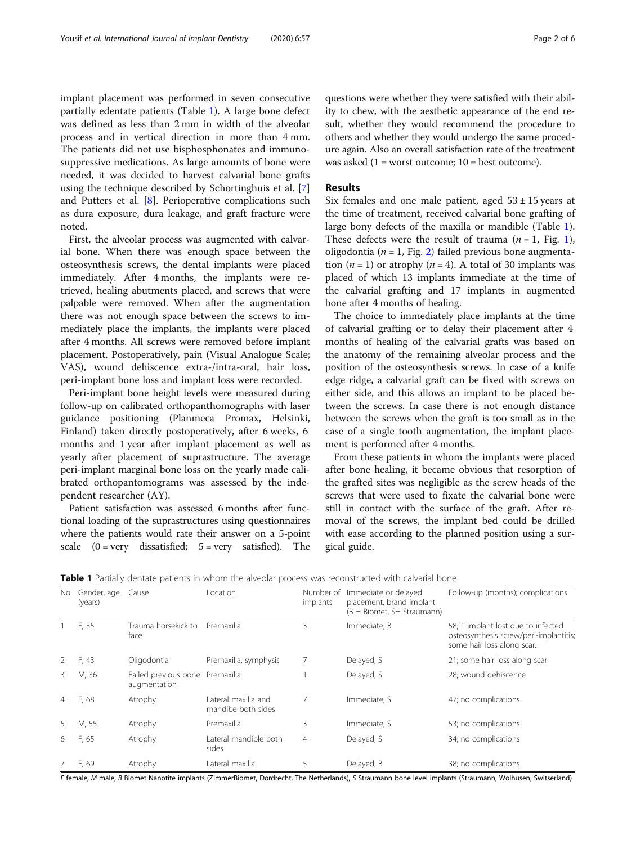implant placement was performed in seven consecutive partially edentate patients (Table 1). A large bone defect was defined as less than 2 mm in width of the alveolar process and in vertical direction in more than 4 mm. The patients did not use bisphosphonates and immunosuppressive medications. As large amounts of bone were needed, it was decided to harvest calvarial bone grafts using the technique described by Schortinghuis et al. [\[7](#page-4-0)] and Putters et al. [[8\]](#page-4-0). Perioperative complications such as dura exposure, dura leakage, and graft fracture were noted.

First, the alveolar process was augmented with calvarial bone. When there was enough space between the osteosynthesis screws, the dental implants were placed immediately. After 4 months, the implants were retrieved, healing abutments placed, and screws that were palpable were removed. When after the augmentation there was not enough space between the screws to immediately place the implants, the implants were placed after 4 months. All screws were removed before implant placement. Postoperatively, pain (Visual Analogue Scale; VAS), wound dehiscence extra-/intra-oral, hair loss, peri-implant bone loss and implant loss were recorded.

Peri-implant bone height levels were measured during follow-up on calibrated orthopanthomographs with laser guidance positioning (Planmeca Promax, Helsinki, Finland) taken directly postoperatively, after 6 weeks, 6 months and 1 year after implant placement as well as yearly after placement of suprastructure. The average peri-implant marginal bone loss on the yearly made calibrated orthopantomograms was assessed by the independent researcher (AY).

Patient satisfaction was assessed 6 months after functional loading of the suprastructures using questionnaires where the patients would rate their answer on a 5-point scale  $(0 = very$  dissatisfied;  $5 = very$  satisfied). The

questions were whether they were satisfied with their ability to chew, with the aesthetic appearance of the end result, whether they would recommend the procedure to others and whether they would undergo the same procedure again. Also an overall satisfaction rate of the treatment was asked  $(1 = \text{worst outcome}; 10 = \text{best outcome}).$ 

#### Results

Six females and one male patient, aged  $53 \pm 15$  years at the time of treatment, received calvarial bone grafting of large bony defects of the maxilla or mandible (Table 1). These defects were the result of trauma  $(n = 1, Fig. 1)$  $(n = 1, Fig. 1)$  $(n = 1, Fig. 1)$ , oligodontia ( $n = 1$ , Fig. [2\)](#page-3-0) failed previous bone augmentation  $(n = 1)$  or atrophy  $(n = 4)$ . A total of 30 implants was placed of which 13 implants immediate at the time of the calvarial grafting and 17 implants in augmented bone after 4 months of healing.

The choice to immediately place implants at the time of calvarial grafting or to delay their placement after 4 months of healing of the calvarial grafts was based on the anatomy of the remaining alveolar process and the position of the osteosynthesis screws. In case of a knife edge ridge, a calvarial graft can be fixed with screws on either side, and this allows an implant to be placed between the screws. In case there is not enough distance between the screws when the graft is too small as in the case of a single tooth augmentation, the implant placement is performed after 4 months.

From these patients in whom the implants were placed after bone healing, it became obvious that resorption of the grafted sites was negligible as the screw heads of the screws that were used to fixate the calvarial bone were still in contact with the surface of the graft. After removal of the screws, the implant bed could be drilled with ease according to the planned position using a surgical guide.

| No.            | Gender, age<br>(years) | Cause                                | Location                                  | Number of<br>implants | Immediate or delayed<br>placement, brand implant<br>$(B = Biomet, S = Stravmann)$ | Follow-up (months); complications                                                                          |
|----------------|------------------------|--------------------------------------|-------------------------------------------|-----------------------|-----------------------------------------------------------------------------------|------------------------------------------------------------------------------------------------------------|
|                | F, 35                  | Trauma horsekick to<br>face          | Premaxilla                                | 3                     | Immediate, B                                                                      | 58; 1 implant lost due to infected<br>osteosynthesis screw/peri-implantitis;<br>some hair loss along scar. |
|                | F, 43                  | Oligodontia                          | Premaxilla, symphysis                     |                       | Delayed, S                                                                        | 21; some hair loss along scar                                                                              |
| 3              | M, 36                  | Failed previous bone<br>augmentation | Premaxilla                                |                       | Delayed, S                                                                        | 28; wound dehiscence                                                                                       |
| $\overline{4}$ | F, 68                  | Atrophy                              | Lateral maxilla and<br>mandibe both sides | 7                     | Immediate, S                                                                      | 47; no complications                                                                                       |
| 5              | M, 55                  | Atrophy                              | Premaxilla                                | 3                     | Immediate, S                                                                      | 53; no complications                                                                                       |
| 6              | F, 65                  | Atrophy                              | Lateral mandible both<br>sides            | $\overline{4}$        | Delayed, S                                                                        | 34; no complications                                                                                       |
|                | F, 69                  | Atrophy                              | Lateral maxilla                           | 5                     | Delayed, B                                                                        | 38; no complications                                                                                       |

**Table 1** Partially dentate patients in whom the alveolar process was reconstructed with calvarial bone

F female, M male, B Biomet Nanotite implants (ZimmerBiomet, Dordrecht, The Netherlands), S Straumann bone level implants (Straumann, Wolhusen, Switserland)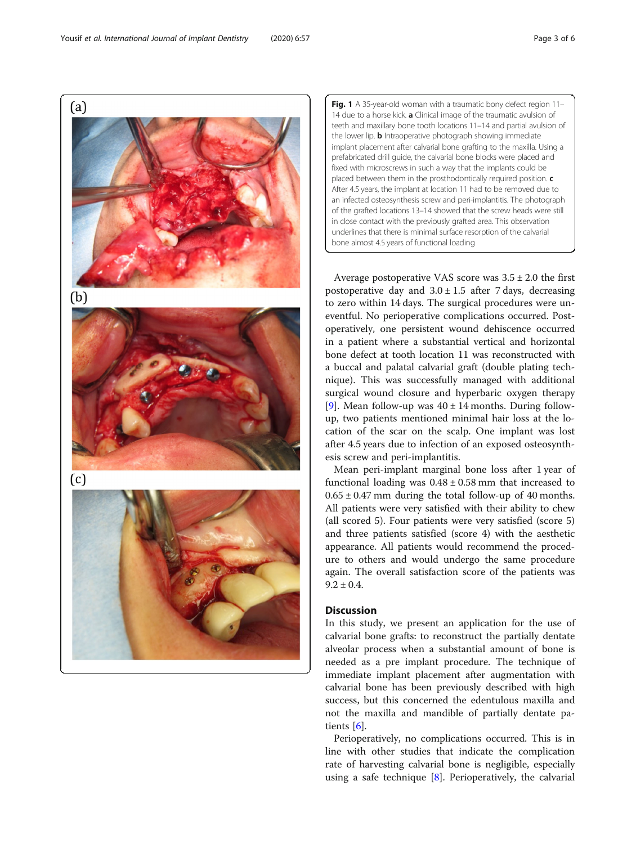<span id="page-2-0"></span> $(a)$  $(b)$  $(c)$  Fig. 1 A 35-year-old woman with a traumatic bony defect region 11-14 due to a horse kick. a Clinical image of the traumatic avulsion of teeth and maxillary bone tooth locations 11–14 and partial avulsion of the lower lip. **b** Intraoperative photograph showing immediate implant placement after calvarial bone grafting to the maxilla. Using a prefabricated drill guide, the calvarial bone blocks were placed and fixed with microscrews in such a way that the implants could be placed between them in the prosthodontically required position. c After 4.5 years, the implant at location 11 had to be removed due to an infected osteosynthesis screw and peri-implantitis. The photograph of the grafted locations 13–14 showed that the screw heads were still in close contact with the previously grafted area. This observation underlines that there is minimal surface resorption of the calvarial bone almost 4.5 years of functional loading

Average postoperative VAS score was  $3.5 \pm 2.0$  the first postoperative day and  $3.0 \pm 1.5$  after 7 days, decreasing to zero within 14 days. The surgical procedures were uneventful. No perioperative complications occurred. Postoperatively, one persistent wound dehiscence occurred in a patient where a substantial vertical and horizontal bone defect at tooth location 11 was reconstructed with a buccal and palatal calvarial graft (double plating technique). This was successfully managed with additional surgical wound closure and hyperbaric oxygen therapy [[9\]](#page-4-0). Mean follow-up was  $40 \pm 14$  months. During followup, two patients mentioned minimal hair loss at the location of the scar on the scalp. One implant was lost after 4.5 years due to infection of an exposed osteosynthesis screw and peri-implantitis.

Mean peri-implant marginal bone loss after 1 year of functional loading was  $0.48 \pm 0.58$  mm that increased to  $0.65 \pm 0.47$  mm during the total follow-up of 40 months. All patients were very satisfied with their ability to chew (all scored 5). Four patients were very satisfied (score 5) and three patients satisfied (score 4) with the aesthetic appearance. All patients would recommend the procedure to others and would undergo the same procedure again. The overall satisfaction score of the patients was  $9.2 \pm 0.4$ .

### **Discussion**

In this study, we present an application for the use of calvarial bone grafts: to reconstruct the partially dentate alveolar process when a substantial amount of bone is needed as a pre implant procedure. The technique of immediate implant placement after augmentation with calvarial bone has been previously described with high success, but this concerned the edentulous maxilla and not the maxilla and mandible of partially dentate patients [\[6](#page-4-0)].

Perioperatively, no complications occurred. This is in line with other studies that indicate the complication rate of harvesting calvarial bone is negligible, especially using a safe technique [[8\]](#page-4-0). Perioperatively, the calvarial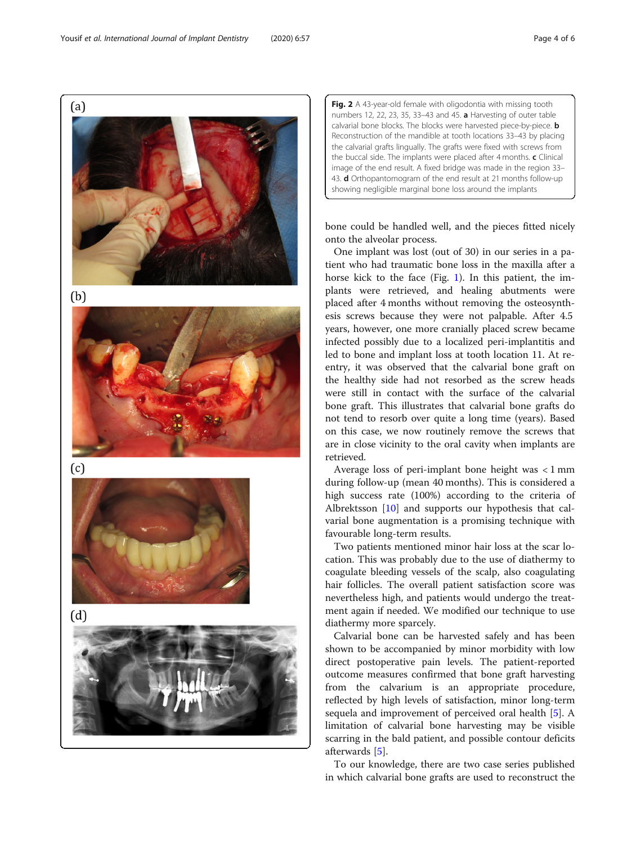$(b)$ 

<span id="page-3-0"></span> $(a)$ 



 $(c)$ 



 $(d)$ 



Fig. 2 A 43-year-old female with oligodontia with missing tooth numbers 12, 22, 23, 35, 33–43 and 45. a Harvesting of outer table calvarial bone blocks. The blocks were harvested piece-by-piece. **b** Reconstruction of the mandible at tooth locations 33–43 by placing the calvarial grafts lingually. The grafts were fixed with screws from the buccal side. The implants were placed after 4 months. c Clinical image of the end result. A fixed bridge was made in the region 33– 43. **d** Orthopantomogram of the end result at 21 months follow-up showing negligible marginal bone loss around the implants

bone could be handled well, and the pieces fitted nicely onto the alveolar process.

One implant was lost (out of 30) in our series in a patient who had traumatic bone loss in the maxilla after a horse kick to the face (Fig. [1](#page-2-0)). In this patient, the implants were retrieved, and healing abutments were placed after 4 months without removing the osteosynthesis screws because they were not palpable. After 4.5 years, however, one more cranially placed screw became infected possibly due to a localized peri-implantitis and led to bone and implant loss at tooth location 11. At reentry, it was observed that the calvarial bone graft on the healthy side had not resorbed as the screw heads were still in contact with the surface of the calvarial bone graft. This illustrates that calvarial bone grafts do not tend to resorb over quite a long time (years). Based on this case, we now routinely remove the screws that are in close vicinity to the oral cavity when implants are retrieved.

Average loss of peri-implant bone height was < 1 mm during follow-up (mean 40 months). This is considered a high success rate (100%) according to the criteria of Albrektsson [\[10\]](#page-4-0) and supports our hypothesis that calvarial bone augmentation is a promising technique with favourable long-term results.

Two patients mentioned minor hair loss at the scar location. This was probably due to the use of diathermy to coagulate bleeding vessels of the scalp, also coagulating hair follicles. The overall patient satisfaction score was nevertheless high, and patients would undergo the treatment again if needed. We modified our technique to use diathermy more sparcely.

Calvarial bone can be harvested safely and has been shown to be accompanied by minor morbidity with low direct postoperative pain levels. The patient-reported outcome measures confirmed that bone graft harvesting from the calvarium is an appropriate procedure, reflected by high levels of satisfaction, minor long-term sequela and improvement of perceived oral health [\[5](#page-4-0)]. A limitation of calvarial bone harvesting may be visible scarring in the bald patient, and possible contour deficits afterwards [\[5](#page-4-0)].

To our knowledge, there are two case series published in which calvarial bone grafts are used to reconstruct the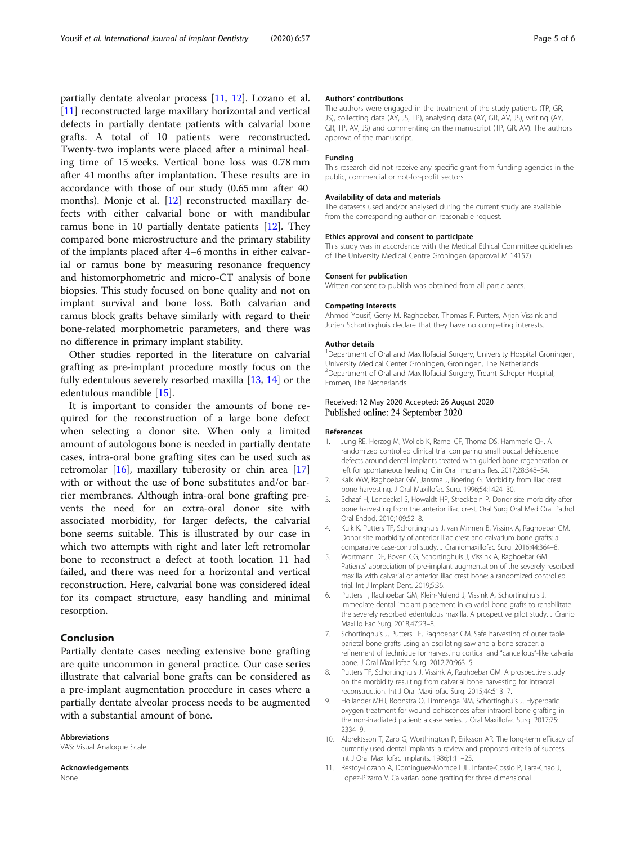<span id="page-4-0"></span>partially dentate alveolar process [11, [12\]](#page-5-0). Lozano et al. [11] reconstructed large maxillary horizontal and vertical defects in partially dentate patients with calvarial bone grafts. A total of 10 patients were reconstructed. Twenty-two implants were placed after a minimal healing time of 15 weeks. Vertical bone loss was 0.78 mm after 41 months after implantation. These results are in accordance with those of our study (0.65 mm after 40 months). Monje et al. [\[12](#page-5-0)] reconstructed maxillary defects with either calvarial bone or with mandibular ramus bone in 10 partially dentate patients [\[12\]](#page-5-0). They compared bone microstructure and the primary stability of the implants placed after 4–6 months in either calvarial or ramus bone by measuring resonance frequency and histomorphometric and micro-CT analysis of bone biopsies. This study focused on bone quality and not on implant survival and bone loss. Both calvarian and ramus block grafts behave similarly with regard to their bone-related morphometric parameters, and there was no difference in primary implant stability.

Other studies reported in the literature on calvarial grafting as pre-implant procedure mostly focus on the fully edentulous severely resorbed maxilla [[13](#page-5-0), [14\]](#page-5-0) or the edentulous mandible [\[15](#page-5-0)].

It is important to consider the amounts of bone required for the reconstruction of a large bone defect when selecting a donor site. When only a limited amount of autologous bone is needed in partially dentate cases, intra-oral bone grafting sites can be used such as retromolar [[16](#page-5-0)], maxillary tuberosity or chin area [[17](#page-5-0)] with or without the use of bone substitutes and/or barrier membranes. Although intra-oral bone grafting prevents the need for an extra-oral donor site with associated morbidity, for larger defects, the calvarial bone seems suitable. This is illustrated by our case in which two attempts with right and later left retromolar bone to reconstruct a defect at tooth location 11 had failed, and there was need for a horizontal and vertical reconstruction. Here, calvarial bone was considered ideal for its compact structure, easy handling and minimal resorption.

#### Conclusion

Partially dentate cases needing extensive bone grafting are quite uncommon in general practice. Our case series illustrate that calvarial bone grafts can be considered as a pre-implant augmentation procedure in cases where a partially dentate alveolar process needs to be augmented with a substantial amount of bone.

#### Abbreviations VAS: Visual Analogue Scale

Acknowledgements None

#### Authors' contributions

The authors were engaged in the treatment of the study patients (TP, GR, JS), collecting data (AY, JS, TP), analysing data (AY, GR, AV, JS), writing (AY, GR, TP, AV, JS) and commenting on the manuscript (TP, GR, AV). The authors approve of the manuscript.

#### Funding

This research did not receive any specific grant from funding agencies in the public, commercial or not-for-profit sectors.

#### Availability of data and materials

The datasets used and/or analysed during the current study are available from the corresponding author on reasonable request.

#### Ethics approval and consent to participate

This study was in accordance with the Medical Ethical Committee guidelines of The University Medical Centre Groningen (approval M 14157).

#### Consent for publication

Written consent to publish was obtained from all participants.

#### Competing interests

Ahmed Yousif, Gerry M. Raghoebar, Thomas F. Putters, Arjan Vissink and Jurjen Schortinghuis declare that they have no competing interests.

#### Author details

<sup>1</sup>Department of Oral and Maxillofacial Surgery, University Hospital Groningen, University Medical Center Groningen, Groningen, The Netherlands. <sup>2</sup>Department of Oral and Maxillofacial Surgery, Treant Scheper Hospital Emmen, The Netherlands.

#### Received: 12 May 2020 Accepted: 26 August 2020 Published online: 24 September 2020

#### References

- 1. Jung RE, Herzog M, Wolleb K, Ramel CF, Thoma DS, Hammerle CH. A randomized controlled clinical trial comparing small buccal dehiscence defects around dental implants treated with guided bone regeneration or left for spontaneous healing. Clin Oral Implants Res. 2017;28:348–54.
- 2. Kalk WW, Raghoebar GM, Jansma J, Boering G. Morbidity from iliac crest bone harvesting. J Oral Maxillofac Surg. 1996;54:1424–30.
- 3. Schaaf H, Lendeckel S, Howaldt HP, Streckbein P. Donor site morbidity after bone harvesting from the anterior iliac crest. Oral Surg Oral Med Oral Pathol Oral Endod. 2010;109:52–8.
- 4. Kuik K, Putters TF, Schortinghuis J, van Minnen B, Vissink A, Raghoebar GM. Donor site morbidity of anterior iliac crest and calvarium bone grafts: a comparative case-control study. J Craniomaxillofac Surg. 2016;44:364–8.
- 5. Wortmann DE, Boven CG, Schortinghuis J, Vissink A, Raghoebar GM. Patients' appreciation of pre-implant augmentation of the severely resorbed maxilla with calvarial or anterior iliac crest bone: a randomized controlled trial. Int J Implant Dent. 2019;5:36.
- 6. Putters T, Raghoebar GM, Klein-Nulend J, Vissink A, Schortinghuis J. Immediate dental implant placement in calvarial bone grafts to rehabilitate the severely resorbed edentulous maxilla. A prospective pilot study. J Cranio Maxillo Fac Surg. 2018;47:23–8.
- 7. Schortinghuis J, Putters TF, Raghoebar GM. Safe harvesting of outer table parietal bone grafts using an oscillating saw and a bone scraper: a refinement of technique for harvesting cortical and "cancellous"-like calvarial bone. J Oral Maxillofac Surg. 2012;70:963–5.
- 8. Putters TF, Schortinghuis J, Vissink A, Raghoebar GM. A prospective study on the morbidity resulting from calvarial bone harvesting for intraoral reconstruction. Int J Oral Maxillofac Surg. 2015;44:513–7.
- 9. Hollander MHJ, Boonstra O, Timmenga NM, Schortinghuis J. Hyperbaric oxygen treatment for wound dehiscences after intraoral bone grafting in the non-irradiated patient: a case series. J Oral Maxillofac Surg. 2017;75: 2334–9.
- 10. Albrektsson T, Zarb G, Worthington P, Eriksson AR. The long-term efficacy of currently used dental implants: a review and proposed criteria of success. Int J Oral Maxillofac Implants. 1986;1:11–25.
- 11. Restoy-Lozano A, Dominguez-Mompell JL, Infante-Cossio P, Lara-Chao J, Lopez-Pizarro V. Calvarian bone grafting for three dimensional